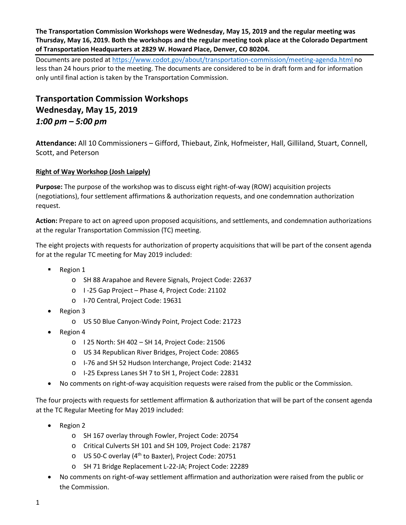**The Transportation Commission Workshops were Wednesday, May 15, 2019 and the regular meeting was Thursday, May 16, 2019. Both the workshops and the regular meeting took place at the Colorado Department of Transportation Headquarters at 2829 W. Howard Place, Denver, CO 80204.**

Documents are posted at<https://www.codot.gov/about/transportation-commission/meeting-agenda.html> no less than 24 hours prior to the meeting. The documents are considered to be in draft form and for information only until final action is taken by the Transportation Commission.

# **Transportation Commission Workshops Wednesday, May 15, 2019** *1:00 pm – 5:00 pm*

**Attendance:** All 10 Commissioners – Gifford, Thiebaut, Zink, Hofmeister, Hall, Gilliland, Stuart, Connell, Scott, and Peterson

# **[Right of Way Workshop \(Josh Laipply\)](https://www.codot.gov/about/transportation-commission/documents/2018-agendas-and-supporting-documents/december-2018/tc-row-2018-12-final.pdf)**

**Purpose:** The purpose of the workshop was to discuss eight right-of-way (ROW) acquisition projects (negotiations), four settlement affirmations & authorization requests, and one condemnation authorization request.

**Action:** Prepare to act on agreed upon proposed acquisitions, and settlements, and condemnation authorizations at the regular Transportation Commission (TC) meeting.

The eight projects with requests for authorization of property acquisitions that will be part of the consent agenda for at the regular TC meeting for May 2019 included:

- Region 1
	- o SH 88 Arapahoe and Revere Signals, Project Code: 22637
	- o I -25 Gap Project Phase 4, Project Code: 21102
	- o I-70 Central, Project Code: 19631
- Region 3
	- o US 50 Blue Canyon-Windy Point, Project Code: 21723
- Region 4
	- o I 25 North: SH 402 SH 14, Project Code: 21506
	- o US 34 Republican River Bridges, Project Code: 20865
	- o I-76 and SH 52 Hudson Interchange, Project Code: 21432
	- o I-25 Express Lanes SH 7 to SH 1, Project Code: 22831
- No comments on right-of-way acquisition requests were raised from the public or the Commission.

The four projects with requests for settlement affirmation & authorization that will be part of the consent agenda at the TC Regular Meeting for May 2019 included:

- Region 2
	- o SH 167 overlay through Fowler, Project Code: 20754
	- o Critical Culverts SH 101 and SH 109, Project Code: 21787
	- o US 50-C overlay (4th to Baxter), Project Code: 20751
	- o SH 71 Bridge Replacement L-22-JA; Project Code: 22289
- No comments on right-of-way settlement affirmation and authorization were raised from the public or the Commission.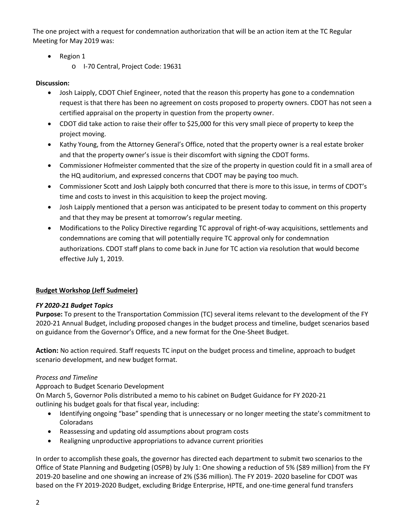The one project with a request for condemnation authorization that will be an action item at the TC Regular Meeting for May 2019 was:

- Region 1
	- o I-70 Central, Project Code: 19631

## **Discussion:**

- Josh Laipply, CDOT Chief Engineer, noted that the reason this property has gone to a condemnation request is that there has been no agreement on costs proposed to property owners. CDOT has not seen a certified appraisal on the property in question from the property owner.
- CDOT did take action to raise their offer to \$25,000 for this very small piece of property to keep the project moving.
- Kathy Young, from the Attorney General's Office, noted that the property owner is a real estate broker and that the property owner's issue is their discomfort with signing the CDOT forms.
- Commissioner Hofmeister commented that the size of the property in question could fit in a small area of the HQ auditorium, and expressed concerns that CDOT may be paying too much.
- Commissioner Scott and Josh Laipply both concurred that there is more to this issue, in terms of CDOT's time and costs to invest in this acquisition to keep the project moving.
- Josh Laipply mentioned that a person was anticipated to be present today to comment on this property and that they may be present at tomorrow's regular meeting.
- Modifications to the Policy Directive regarding TC approval of right-of-way acquisitions, settlements and condemnations are coming that will potentially require TC approval only for condemnation authorizations. CDOT staff plans to come back in June for TC action via resolution that would become effective July 1, 2019.

# **Budget Workshop (Jeff Sudmeier)**

## *FY 2020-21 Budget Topics*

**Purpose:** To present to the Transportation Commission (TC) several items relevant to the development of the FY 2020-21 Annual Budget, including proposed changes in the budget process and timeline, budget scenarios based on guidance from the Governor's Office, and a new format for the One-Sheet Budget.

**Action:** No action required. Staff requests TC input on the budget process and timeline, approach to budget scenario development, and new budget format.

## *Process and Timeline*

Approach to Budget Scenario Development

On March 5, Governor Polis distributed a memo to his cabinet on Budget Guidance for FY 2020-21 outlining his budget goals for that fiscal year, including:

- Identifying ongoing "base" spending that is unnecessary or no longer meeting the state's commitment to Coloradans
- Reassessing and updating old assumptions about program costs
- Realigning unproductive appropriations to advance current priorities

In order to accomplish these goals, the governor has directed each department to submit two scenarios to the Office of State Planning and Budgeting (OSPB) by July 1: One showing a reduction of 5% (\$89 million) from the FY 2019-20 baseline and one showing an increase of 2% (\$36 million). The FY 2019- 2020 baseline for CDOT was based on the FY 2019-2020 Budget, excluding Bridge Enterprise, HPTE, and one-time general fund transfers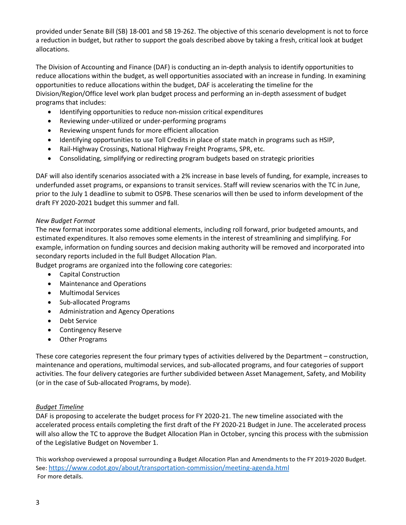provided under Senate Bill (SB) 18-001 and SB 19-262. The objective of this scenario development is not to force a reduction in budget, but rather to support the goals described above by taking a fresh, critical look at budget allocations.

The Division of Accounting and Finance (DAF) is conducting an in-depth analysis to identify opportunities to reduce allocations within the budget, as well opportunities associated with an increase in funding. In examining opportunities to reduce allocations within the budget, DAF is accelerating the timeline for the Division/Region/Office level work plan budget process and performing an in-depth assessment of budget programs that includes:

- Identifying opportunities to reduce non-mission critical expenditures
- Reviewing under-utilized or under-performing programs
- Reviewing unspent funds for more efficient allocation
- Identifying opportunities to use Toll Credits in place of state match in programs such as HSIP,
- Rail-Highway Crossings, National Highway Freight Programs, SPR, etc.
- Consolidating, simplifying or redirecting program budgets based on strategic priorities

DAF will also identify scenarios associated with a 2% increase in base levels of funding, for example, increases to underfunded asset programs, or expansions to transit services. Staff will review scenarios with the TC in June, prior to the July 1 deadline to submit to OSPB. These scenarios will then be used to inform development of the draft FY 2020-2021 budget this summer and fall.

#### *New Budget Format*

The new format incorporates some additional elements, including roll forward, prior budgeted amounts, and estimated expenditures. It also removes some elements in the interest of streamlining and simplifying. For example, information on funding sources and decision making authority will be removed and incorporated into secondary reports included in the full Budget Allocation Plan.

Budget programs are organized into the following core categories:

- Capital Construction
- Maintenance and Operations
- Multimodal Services
- Sub-allocated Programs
- Administration and Agency Operations
- Debt Service
- Contingency Reserve
- Other Programs

These core categories represent the four primary types of activities delivered by the Department – construction, maintenance and operations, multimodal services, and sub-allocated programs, and four categories of support activities. The four delivery categories are further subdivided between Asset Management, Safety, and Mobility (or in the case of Sub-allocated Programs, by mode).

#### *Budget Timeline*

DAF is proposing to accelerate the budget process for FY 2020-21. The new timeline associated with the accelerated process entails completing the first draft of the FY 2020-21 Budget in June. The accelerated process will also allow the TC to approve the Budget Allocation Plan in October, syncing this process with the submission of the Legislative Budget on November 1.

This workshop overviewed a proposal surrounding a Budget Allocation Plan and Amendments to the FY 2019-2020 Budget. See[: https://www.codot.gov/about/transportation-commission/meeting-agenda.html](https://www.codot.gov/about/transportation-commission/meeting-agenda.html) For more details.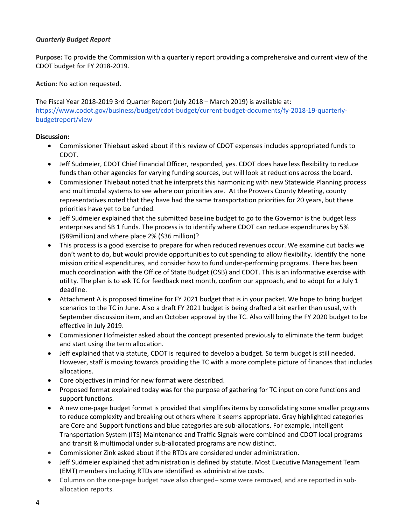### *Quarterly Budget Report*

**Purpose:** To provide the Commission with a quarterly report providing a comprehensive and current view of the CDOT budget for FY 2018-2019.

**Action:** No action requested.

The Fiscal Year 2018-2019 3rd Quarter Report (July 2018 – March 2019) is available at: https://www.codot.gov/business/budget/cdot-budget/current-budget-documents/fy-2018-19-quarterlybudgetreport/view

- Commissioner Thiebaut asked about if this review of CDOT expenses includes appropriated funds to CDOT.
- Jeff Sudmeier, CDOT Chief Financial Officer, responded, yes. CDOT does have less flexibility to reduce funds than other agencies for varying funding sources, but will look at reductions across the board.
- Commissioner Thiebaut noted that he interprets this harmonizing with new Statewide Planning process and multimodal systems to see where our priorities are. At the Prowers County Meeting, county representatives noted that they have had the same transportation priorities for 20 years, but these priorities have yet to be funded.
- Jeff Sudmeier explained that the submitted baseline budget to go to the Governor is the budget less enterprises and SB 1 funds. The process is to identify where CDOT can reduce expenditures by 5% (\$89million) and where place 2% (\$36 million)?
- This process is a good exercise to prepare for when reduced revenues occur. We examine cut backs we don't want to do, but would provide opportunities to cut spending to allow flexibility. Identify the none mission critical expenditures, and consider how to fund under-performing programs. There has been much coordination with the Office of State Budget (OSB) and CDOT. This is an informative exercise with utility. The plan is to ask TC for feedback next month, confirm our approach, and to adopt for a July 1 deadline.
- Attachment A is proposed timeline for FY 2021 budget that is in your packet. We hope to bring budget scenarios to the TC in June. Also a draft FY 2021 budget is being drafted a bit earlier than usual, with September discussion item, and an October approval by the TC. Also will bring the FY 2020 budget to be effective in July 2019.
- Commissioner Hofmeister asked about the concept presented previously to eliminate the term budget and start using the term allocation.
- Jeff explained that via statute, CDOT is required to develop a budget. So term budget is still needed. However, staff is moving towards providing the TC with a more complete picture of finances that includes allocations.
- Core objectives in mind for new format were described.
- Proposed format explained today was for the purpose of gathering for TC input on core functions and support functions.
- A new one-page budget format is provided that simplifies items by consolidating some smaller programs to reduce complexity and breaking out others where it seems appropriate. Gray highlighted categories are Core and Support functions and blue categories are sub-allocations. For example, Intelligent Transportation System (ITS) Maintenance and Traffic Signals were combined and CDOT local programs and transit & multimodal under sub-allocated programs are now distinct.
- Commissioner Zink asked about if the RTDs are considered under administration.
- Jeff Sudmeier explained that administration is defined by statute. Most Executive Management Team (EMT) members including RTDs are identified as administrative costs.
- Columns on the one-page budget have also changed– some were removed, and are reported in suballocation reports.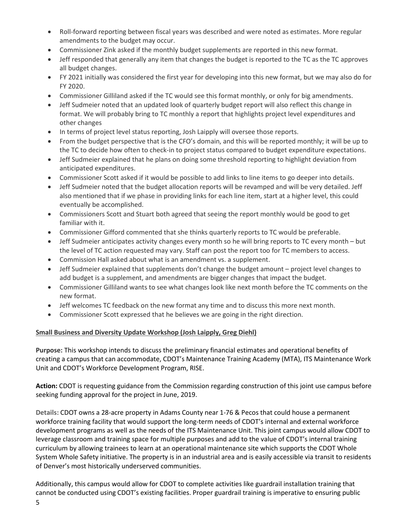- Roll-forward reporting between fiscal years was described and were noted as estimates. More regular amendments to the budget may occur.
- Commissioner Zink asked if the monthly budget supplements are reported in this new format.
- Jeff responded that generally any item that changes the budget is reported to the TC as the TC approves all budget changes.
- FY 2021 initially was considered the first year for developing into this new format, but we may also do for FY 2020.
- Commissioner Gilliland asked if the TC would see this format monthly, or only for big amendments.
- Jeff Sudmeier noted that an updated look of quarterly budget report will also reflect this change in format. We will probably bring to TC monthly a report that highlights project level expenditures and other changes
- In terms of project level status reporting, Josh Laipply will oversee those reports.
- From the budget perspective that is the CFO's domain, and this will be reported monthly; it will be up to the TC to decide how often to check-in to project status compared to budget expenditure expectations.
- Jeff Sudmeier explained that he plans on doing some threshold reporting to highlight deviation from anticipated expenditures.
- Commissioner Scott asked if it would be possible to add links to line items to go deeper into details.
- Jeff Sudmeier noted that the budget allocation reports will be revamped and will be very detailed. Jeff also mentioned that if we phase in providing links for each line item, start at a higher level, this could eventually be accomplished.
- Commissioners Scott and Stuart both agreed that seeing the report monthly would be good to get familiar with it.
- Commissioner Gifford commented that she thinks quarterly reports to TC would be preferable.
- Jeff Sudmeier anticipates activity changes every month so he will bring reports to TC every month but the level of TC action requested may vary. Staff can post the report too for TC members to access.
- Commission Hall asked about what is an amendment vs. a supplement.
- Jeff Sudmeier explained that supplements don't change the budget amount project level changes to add budget is a supplement, and amendments are bigger changes that impact the budget.
- Commissioner Gilliland wants to see what changes look like next month before the TC comments on the new format.
- Jeff welcomes TC feedback on the new format any time and to discuss this more next month.
- Commissioner Scott expressed that he believes we are going in the right direction.

## **Small Business and Diversity Update Workshop (Josh Laipply, Greg Diehl)**

**Purpose:** This workshop intends to discuss the preliminary financial estimates and operational benefits of creating a campus that can accommodate, CDOT's Maintenance Training Academy (MTA), ITS Maintenance Work Unit and CDOT's Workforce Development Program, RISE.

**Action:** CDOT is requesting guidance from the Commission regarding construction of this joint use campus before seeking funding approval for the project in June, 2019.

**Details:** CDOT owns a 28-acre property in Adams County near 1-76 & Pecos that could house a permanent workforce training facility that would support the long-term needs of CDOT's internal and external workforce development programs as well as the needs of the ITS Maintenance Unit. This joint campus would allow CDOT to leverage classroom and training space for multiple purposes and add to the value of CDOT's internal training curriculum by allowing trainees to learn at an operational maintenance site which supports the CDOT Whole System Whole Safety initiative. The property is in an industrial area and is easily accessible via transit to residents of Denver's most historically underserved communities.

Additionally, this campus would allow for CDOT to complete activities like guardrail installation training that cannot be conducted using CDOT's existing facilities. Proper guardrail training is imperative to ensuring public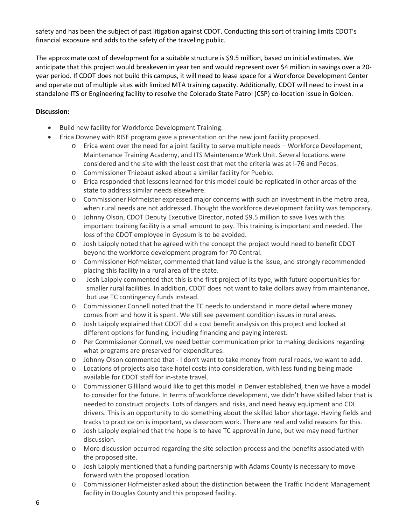safety and has been the subject of past litigation against CDOT. Conducting this sort of training limits CDOT's financial exposure and adds to the safety of the traveling public.

The approximate cost of development for a suitable structure is \$9.5 million, based on initial estimates. We anticipate that this project would breakeven in year ten and would represent over \$4 million in savings over a 20 year period. If CDOT does not build this campus, it will need to lease space for a Workforce Development Center and operate out of multiple sites with limited MTA training capacity. Additionally, CDOT will need to invest in a standalone ITS or Engineering facility to resolve the Colorado State Patrol (CSP) co-location issue in Golden.

- Build new facility for Workforce Development Training.
- Erica Downey with RISE program gave a presentation on the new joint facility proposed.
	- o Erica went over the need for a joint facility to serve multiple needs Workforce Development, Maintenance Training Academy, and ITS Maintenance Work Unit. Several locations were considered and the site with the least cost that met the criteria was at I-76 and Pecos.
	- o Commissioner Thiebaut asked about a similar facility for Pueblo.
	- o Erica responded that lessons learned for this model could be replicated in other areas of the state to address similar needs elsewhere.
	- o Commissioner Hofmeister expressed major concerns with such an investment in the metro area, when rural needs are not addressed. Thought the workforce development facility was temporary.
	- o Johnny Olson, CDOT Deputy Executive Director, noted \$9.5 million to save lives with this important training facility is a small amount to pay. This training is important and needed. The loss of the CDOT employee in Gypsum is to be avoided.
	- o Josh Laipply noted that he agreed with the concept the project would need to benefit CDOT beyond the workforce development program for 70 Central.
	- o Commissioner Hofmeister, commented that land value is the issue, and strongly recommended placing this facility in a rural area of the state.
	- o Josh Laipply commented that this is the first project of its type, with future opportunities for smaller rural facilities. In addition, CDOT does not want to take dollars away from maintenance, but use TC contingency funds instead.
	- o Commissioner Connell noted that the TC needs to understand in more detail where money comes from and how it is spent. We still see pavement condition issues in rural areas.
	- o Josh Laipply explained that CDOT did a cost benefit analysis on this project and looked at different options for funding, including financing and paying interest.
	- o Per Commissioner Connell, we need better communication prior to making decisions regarding what programs are preserved for expenditures.
	- o Johnny Olson commented that I don't want to take money from rural roads, we want to add.
	- o Locations of projects also take hotel costs into consideration, with less funding being made available for CDOT staff for in-state travel.
	- o Commissioner Gilliland would like to get this model in Denver established, then we have a model to consider for the future. In terms of workforce development, we didn't have skilled labor that is needed to construct projects. Lots of dangers and risks, and need heavy equipment and CDL drivers. This is an opportunity to do something about the skilled labor shortage. Having fields and tracks to practice on is important, vs classroom work. There are real and valid reasons for this.
	- $\circ$  Josh Laipply explained that the hope is to have TC approval in June, but we may need further discussion.
	- o More discussion occurred regarding the site selection process and the benefits associated with the proposed site.
	- o Josh Laipply mentioned that a funding partnership with Adams County is necessary to move forward with the proposed location.
	- o Commissioner Hofmeister asked about the distinction between the Traffic Incident Management facility in Douglas County and this proposed facility.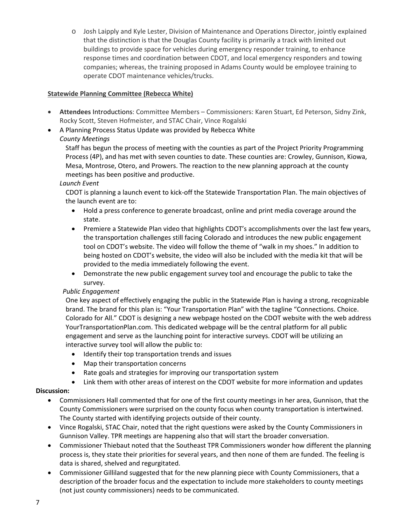o Josh Laipply and Kyle Lester, Division of Maintenance and Operations Director, jointly explained that the distinction is that the Douglas County facility is primarily a track with limited out buildings to provide space for vehicles during emergency responder training, to enhance response times and coordination between CDOT, and local emergency responders and towing companies; whereas, the training proposed in Adams County would be employee training to operate CDOT maintenance vehicles/trucks.

## **Statewide Planning Committee (Rebecca White)**

- **Attendees** Introductions: Committee Members Commissioners: Karen Stuart, Ed Peterson, Sidny Zink, Rocky Scott, Steven Hofmeister, and STAC Chair, Vince Rogalski
- A Planning Process Status Update was provided by Rebecca White

## *County Meetings*

Staff has begun the process of meeting with the counties as part of the Project Priority Programming Process (4P), and has met with seven counties to date. These counties are: Crowley, Gunnison, Kiowa, Mesa, Montrose, Otero, and Prowers. The reaction to the new planning approach at the county meetings has been positive and productive.

### *Launch Event*

CDOT is planning a launch event to kick-off the Statewide Transportation Plan. The main objectives of the launch event are to:

- Hold a press conference to generate broadcast, online and print media coverage around the state.
- Premiere a Statewide Plan video that highlights CDOT's accomplishments over the last few years, the transportation challenges still facing Colorado and introduces the new public engagement tool on CDOT's website. The video will follow the theme of "walk in my shoes." In addition to being hosted on CDOT's website, the video will also be included with the media kit that will be provided to the media immediately following the event.
- Demonstrate the new public engagement survey tool and encourage the public to take the survey.

## *Public Engagement*

One key aspect of effectively engaging the public in the Statewide Plan is having a strong, recognizable brand. The brand for this plan is: "Your Transportation Plan" with the tagline "Connections. Choice. Colorado for All." CDOT is designing a new webpage hosted on the CDOT website with the web address YourTransportationPlan.com. This dedicated webpage will be the central platform for all public engagement and serve as the launching point for interactive surveys. CDOT will be utilizing an interactive survey tool will allow the public to:

- Identify their top transportation trends and issues
- Map their transportation concerns
- Rate goals and strategies for improving our transportation system
- Link them with other areas of interest on the CDOT website for more information and updates

- Commissioners Hall commented that for one of the first county meetings in her area, Gunnison, that the County Commissioners were surprised on the county focus when county transportation is intertwined. The County started with identifying projects outside of their county.
- Vince Rogalski, STAC Chair, noted that the right questions were asked by the County Commissioners in Gunnison Valley. TPR meetings are happening also that will start the broader conversation.
- Commissioner Thiebaut noted that the Southeast TPR Commissioners wonder how different the planning process is, they state their priorities for several years, and then none of them are funded. The feeling is data is shared, shelved and regurgitated.
- Commissioner Gilliland suggested that for the new planning piece with County Commissioners, that a description of the broader focus and the expectation to include more stakeholders to county meetings (not just county commissioners) needs to be communicated.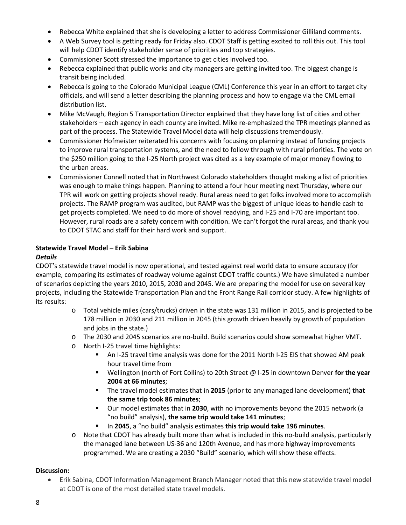- Rebecca White explained that she is developing a letter to address Commissioner Gilliland comments.
- A Web Survey tool is getting ready for Friday also. CDOT Staff is getting excited to roll this out. This tool will help CDOT identify stakeholder sense of priorities and top strategies.
- Commissioner Scott stressed the importance to get cities involved too.
- Rebecca explained that public works and city managers are getting invited too. The biggest change is transit being included.
- Rebecca is going to the Colorado Municipal League (CML) Conference this year in an effort to target city officials, and will send a letter describing the planning process and how to engage via the CML email distribution list.
- Mike McVaugh, Region 5 Transportation Director explained that they have long list of cities and other stakeholders – each agency in each county are invited. Mike re-emphasized the TPR meetings planned as part of the process. The Statewide Travel Model data will help discussions tremendously.
- Commissioner Hofmeister reiterated his concerns with focusing on planning instead of funding projects to improve rural transportation systems, and the need to follow through with rural priorities. The vote on the \$250 million going to the I-25 North project was cited as a key example of major money flowing to the urban areas.
- Commissioner Connell noted that in Northwest Colorado stakeholders thought making a list of priorities was enough to make things happen. Planning to attend a four hour meeting next Thursday, where our TPR will work on getting projects shovel ready. Rural areas need to get folks involved more to accomplish projects. The RAMP program was audited, but RAMP was the biggest of unique ideas to handle cash to get projects completed. We need to do more of shovel readying, and I-25 and I-70 are important too. However, rural roads are a safety concern with condition. We can't forgot the rural areas, and thank you to CDOT STAC and staff for their hard work and support.

## **Statewide Travel Model – Erik Sabina**

#### *Details*

CDOT's statewide travel model is now operational, and tested against real world data to ensure accuracy (for example, comparing its estimates of roadway volume against CDOT traffic counts.) We have simulated a number of scenarios depicting the years 2010, 2015, 2030 and 2045. We are preparing the model for use on several key projects, including the Statewide Transportation Plan and the Front Range Rail corridor study. A few highlights of its results:

- o Total vehicle miles (cars/trucks) driven in the state was 131 million in 2015, and is projected to be 178 million in 2030 and 211 million in 2045 (this growth driven heavily by growth of population and jobs in the state.)
- o The 2030 and 2045 scenarios are no-build. Build scenarios could show somewhat higher VMT.
- o North I-25 travel time highlights:
	- An I-25 travel time analysis was done for the 2011 North I-25 EIS that showed AM peak hour travel time from
	- Wellington (north of Fort Collins) to 20th Street @ I-25 in downtown Denver **for the year 2004 at 66 minutes**;
	- The travel model estimates that in **2015** (prior to any managed lane development) **that the same trip took 86 minutes**;
	- Our model estimates that in **2030**, with no improvements beyond the 2015 network (a "no build" analysis), **the same trip would take 141 minutes**;
	- In **2045**, a "no build" analysis estimates **this trip would take 196 minutes**.
- o Note that CDOT has already built more than what is included in this no-build analysis, particularly the managed lane between US-36 and 120th Avenue, and has more highway improvements programmed. We are creating a 2030 "Build" scenario, which will show these effects.

#### **Discussion:**

• Erik Sabina, CDOT Information Management Branch Manager noted that this new statewide travel model at CDOT is one of the most detailed state travel models.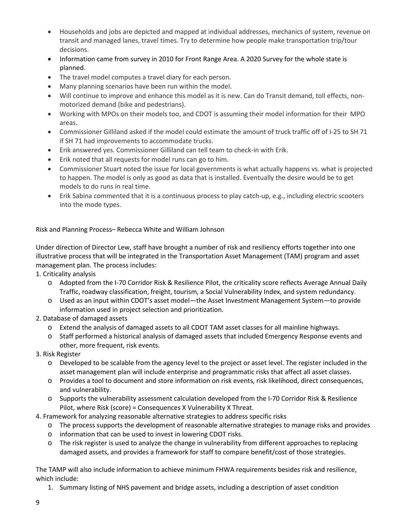- Households and jobs are depicted and mapped at individual addresses, mechanics of system, revenue on transit and managed lanes, travel times. Try to determine how people make transportation trip/tour decisions.
- Information came from survey in 2010 for Front Range Area. A 2020 Survey for the whole state is planned.
- The travel model computes a travel diary for each person.
- Many planning scenarios have been run within the model.
- Will continue to improve and enhance this model as it is new. Can do Transit demand, toll effects, nonmotorized demand (bike and pedestrians).
- Working with MPOs on their models too, and CDOT is assuming their model information for their MPO areas.
- Commissioner Gilliland asked if the model could estimate the amount of truck traffic off of I-25 to SH 71 if SH 71 had improvements to accommodate trucks.
- Erik answered yes. Commissioner Gilliland can tell team to check-in with Erik.
- Erik noted that all requests for model runs can go to him.
- Commissioner Stuart noted the issue for local governments is what actually happens vs. what is projected to happen. The model is only as good as data that is installed. Eventually the desire would be to get models to do runs in real time.
- Erik Sabina commented that it is a continuous process to play catch-up, e.g., including electric scooters into the mode types.

Risk and Planning Process– Rebecca White and William Johnson

Under direction of Director Lew, staff have brought a number of risk and resiliency efforts together into one illustrative process that will be integrated in the Transportation Asset Management (TAM) program and asset management plan. The process includes:

## 1. Criticality analysis

- o Adopted from the I-70 Corridor Risk & Resilience Pilot, the criticality score reflects Average Annual Daily Traffic, roadway classification, freight, tourism, a Social Vulnerability Index, and system redundancy.
- o Used as an input within CDOT's asset model—the Asset Investment Management System—to provide information used in project selection and prioritization.

## 2. Database of damaged assets

- o Extend the analysis of damaged assets to all CDOT TAM asset classes for all mainline highways.
- o Staff performed a historical analysis of damaged assets that included Emergency Response events and other, more frequent, risk events.
- 3. Risk Register
	- o Developed to be scalable from the agency level to the project or asset level. The register included in the asset management plan will include enterprise and programmatic risks that affect all asset classes.
	- o Provides a tool to document and store information on risk events, risk likelihood, direct consequences, and vulnerability.
	- o Supports the vulnerability assessment calculation developed from the I-70 Corridor Risk & Resilience Pilot, where Risk (score) = Consequences X Vulnerability X Threat.
- 4. Framework for analyzing reasonable alternative strategies to address specific risks
	- o The process supports the development of reasonable alternative strategies to manage risks and provides
	- o information that can be used to invest in lowering CDOT risks.
	- o The risk register is used to analyze the change in vulnerability from different approaches to replacing damaged assets, and provides a framework for staff to compare benefit/cost of those strategies.

The TAMP will also include information to achieve minimum FHWA requirements besides risk and resilience, which include:

1. Summary listing of NHS pavement and bridge assets, including a description of asset condition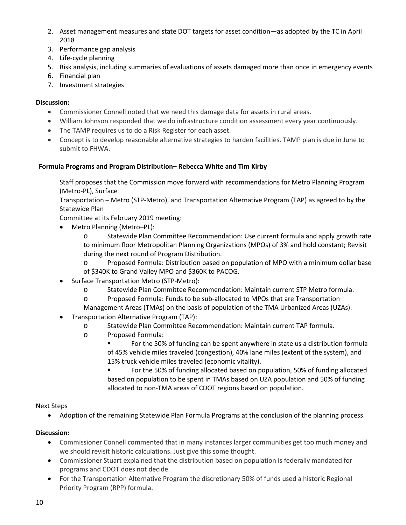- 2. Asset management measures and state DOT targets for asset condition—as adopted by the TC in April 2018
- 3. Performance gap analysis
- 4. Life-cycle planning
- 5. Risk analysis, including summaries of evaluations of assets damaged more than once in emergency events
- 6. Financial plan
- 7. Investment strategies

#### **Discussion:**

- Commissioner Connell noted that we need this damage data for assets in rural areas.
- William Johnson responded that we do infrastructure condition assessment every year continuously.
- The TAMP requires us to do a Risk Register for each asset.
- Concept is to develop reasonable alternative strategies to harden facilities. TAMP plan is due in June to submit to FHWA.

#### **Formula Programs and Program Distribution– Rebecca White and Tim Kirby**

Staff proposes that the Commission move forward with recommendations for Metro Planning Program (Metro-PL), Surface

Transportation – Metro (STP-Metro), and Transportation Alternative Program (TAP) as agreed to by the Statewide Plan

Committee at its February 2019 meeting:

• Metro Planning (Metro–PL):

o Statewide Plan Committee Recommendation: Use current formula and apply growth rate to minimum floor Metropolitan Planning Organizations (MPOs) of 3% and hold constant; Revisit during the next round of Program Distribution.

o Proposed Formula: Distribution based on population of MPO with a minimum dollar base of \$340K to Grand Valley MPO and \$360K to PACOG.

- Surface Transportation Metro (STP-Metro):
	- o Statewide Plan Committee Recommendation: Maintain current STP Metro formula.
	- o Proposed Formula: Funds to be sub-allocated to MPOs that are Transportation
	- Management Areas (TMAs) on the basis of population of the TMA Urbanized Areas (UZAs).
- Transportation Alternative Program (TAP):
	- o Statewide Plan Committee Recommendation: Maintain current TAP formula.
		- o Proposed Formula:
			- For the 50% of funding can be spent anywhere in state us a distribution formula of 45% vehicle miles traveled (congestion), 40% lane miles (extent of the system), and 15% truck vehicle miles traveled (economic vitality).

 For the 50% of funding allocated based on population, 50% of funding allocated based on population to be spent in TMAs based on UZA population and 50% of funding allocated to non-TMA areas of CDOT regions based on population.

#### Next Steps

• Adoption of the remaining Statewide Plan Formula Programs at the conclusion of the planning process.

- Commissioner Connell commented that in many instances larger communities get too much money and we should revisit historic calculations. Just give this some thought.
- Commissioner Stuart explained that the distribution based on population is federally mandated for programs and CDOT does not decide.
- For the Transportation Alternative Program the discretionary 50% of funds used a historic Regional Priority Program (RPP) formula.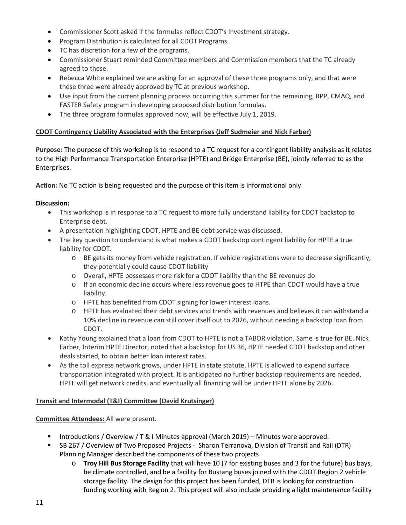- Commissioner Scott asked if the formulas reflect CDOT's Investment strategy.
- Program Distribution is calculated for all CDOT Programs.
- TC has discretion for a few of the programs.
- Commissioner Stuart reminded Committee members and Commission members that the TC already agreed to these.
- Rebecca White explained we are asking for an approval of these three programs only, and that were these three were already approved by TC at previous workshop.
- Use input from the current planning process occurring this summer for the remaining, RPP, CMAQ, and FASTER Safety program in developing proposed distribution formulas.
- The three program formulas approved now, will be effective July 1, 2019.

# **CDOT Contingency Liability Associated with the Enterprises (Jeff Sudmeier and Nick Farber)**

**Purpose:** The purpose of this workshop is to respond to a TC request for a contingent liability analysis as it relates to the High Performance Transportation Enterprise (HPTE) and Bridge Enterprise (BE), jointly referred to as the Enterprises.

**Action:** No TC action is being requested and the purpose of this item is informational only.

# **Discussion:**

- This workshop is in response to a TC request to more fully understand liability for CDOT backstop to Enterprise debt.
- A presentation highlighting CDOT, HPTE and BE debt service was discussed.
- The key question to understand is what makes a CDOT backstop contingent liability for HPTE a true liability for CDOT.
	- o BE gets its money from vehicle registration. If vehicle registrations were to decrease significantly, they potentially could cause CDOT liability
	- o Overall, HPTE possesses more risk for a CDOT liability than the BE revenues do
	- o If an economic decline occurs where less revenue goes to HTPE than CDOT would have a true liability.
	- o HPTE has benefited from CDOT signing for lower interest loans.
	- o HPTE has evaluated their debt services and trends with revenues and believes it can withstand a 10% decline in revenue can still cover itself out to 2026, without needing a backstop loan from CDOT.
- Kathy Young explained that a loan from CDOT to HPTE is not a TABOR violation. Same is true for BE. Nick Farber, Interim HPTE Director, noted that a backstop for US 36, HPTE needed CDOT backstop and other deals started, to obtain better loan interest rates.
- As the toll express network grows, under HPTE in state statute, HPTE is allowed to expend surface transportation integrated with project. It is anticipated no further backstop requirements are needed. HPTE will get network credits, and eventually all financing will be under HPTE alone by 2026.

## **Transit and Intermodal (T&I) Committee (David Krutsinger)**

## **Committee Attendees:** All were present.

- **Introductions / Overview / T & I Minutes approval (March 2019) Minutes were approved.**
- SB 267 / Overview of Two Proposed Projects Sharon Terranova, Division of Transit and Rail (DTR) Planning Manager described the components of these two projects
	- o **Troy Hill Bus Storage Facility** that will have 10 (7 for existing buses and 3 for the future) bus bays, be climate controlled, and be a facility for Bustang buses joined with the CDOT Region 2 vehicle storage facility. The design for this project has been funded, DTR is looking for construction funding working with Region 2. This project will also include providing a light maintenance facility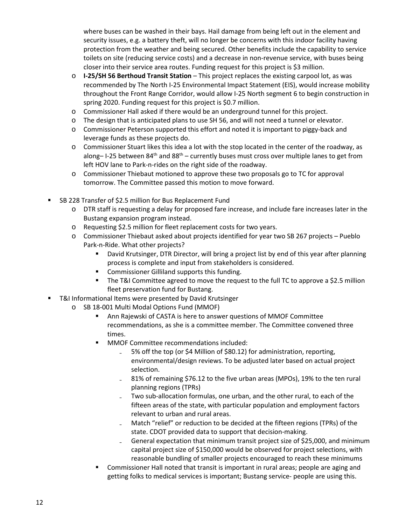where buses can be washed in their bays. Hail damage from being left out in the element and security issues, e.g. a battery theft, will no longer be concerns with this indoor facility having protection from the weather and being secured. Other benefits include the capability to service toilets on site (reducing service costs) and a decrease in non-revenue service, with buses being closer into their service area routes. Funding request for this project is \$3 million.

- o **I-25/SH 56 Berthoud Transit Station** This project replaces the existing carpool lot, as was recommended by The North I-25 Environmental Impact Statement (EIS), would increase mobility throughout the Front Range Corridor, would allow I-25 North segment 6 to begin construction in spring 2020. Funding request for this project is \$0.7 million.
- o Commissioner Hall asked if there would be an underground tunnel for this project.
- o The design that is anticipated plans to use SH 56, and will not need a tunnel or elevator.
- o Commissioner Peterson supported this effort and noted it is important to piggy-back and leverage funds as these projects do.
- o Commissioner Stuart likes this idea a lot with the stop located in the center of the roadway, as along– I-25 between 84<sup>th</sup> and 88<sup>th</sup> – currently buses must cross over multiple lanes to get from left HOV lane to Park-n-rides on the right side of the roadway.
- o Commissioner Thiebaut motioned to approve these two proposals go to TC for approval tomorrow. The Committee passed this motion to move forward.
- SB 228 Transfer of \$2.5 million for Bus Replacement Fund
	- o DTR staff is requesting a delay for proposed fare increase, and include fare increases later in the Bustang expansion program instead.
	- o Requesting \$2.5 million for fleet replacement costs for two years.
	- o Commissioner Thiebaut asked about projects identified for year two SB 267 projects Pueblo Park-n-Ride. What other projects?
		- David Krutsinger, DTR Director, will bring a project list by end of this year after planning process is complete and input from stakeholders is considered.
		- **EXECOMMISSIONER Gilliland supports this funding.**
		- The T&I Committee agreed to move the request to the full TC to approve a \$2.5 million fleet preservation fund for Bustang.
- T&I Informational Items were presented by David Krutsinger
	- o SB 18-001 Multi Modal Options Fund (MMOF)
		- Ann Rajewski of CASTA is here to answer questions of MMOF Committee recommendations, as she is a committee member. The Committee convened three times.
		- **MMOF Committee recommendations included:** 
			- 5% off the top (or \$4 Million of \$80.12) for administration, reporting, environmental/design reviews. To be adjusted later based on actual project selection.
			- ₋ 81% of remaining \$76.12 to the five urban areas (MPOs), 19% to the ten rural planning regions (TPRs)
			- ₋ Two sub-allocation formulas, one urban, and the other rural, to each of the fifteen areas of the state, with particular population and employment factors relevant to urban and rural areas.
			- Match "relief" or reduction to be decided at the fifteen regions (TPRs) of the state. CDOT provided data to support that decision-making.
			- General expectation that minimum transit project size of \$25,000, and minimum capital project size of \$150,000 would be observed for project selections, with reasonable bundling of smaller projects encouraged to reach these minimums
		- Commissioner Hall noted that transit is important in rural areas; people are aging and getting folks to medical services is important; Bustang service- people are using this.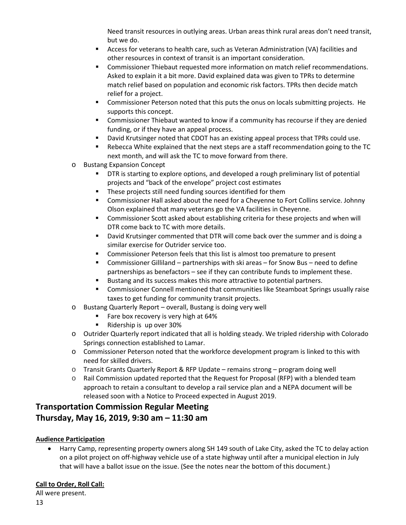Need transit resources in outlying areas. Urban areas think rural areas don't need transit, but we do.

- Access for veterans to health care, such as Veteran Administration (VA) facilities and other resources in context of transit is an important consideration.
- **Commissioner Thiebaut requested more information on match relief recommendations.** Asked to explain it a bit more. David explained data was given to TPRs to determine match relief based on population and economic risk factors. TPRs then decide match relief for a project.
- Commissioner Peterson noted that this puts the onus on locals submitting projects. He supports this concept.
- Commissioner Thiebaut wanted to know if a community has recourse if they are denied funding, or if they have an appeal process.
- David Krutsinger noted that CDOT has an existing appeal process that TPRs could use.
- Rebecca White explained that the next steps are a staff recommendation going to the TC next month, and will ask the TC to move forward from there.
- o Bustang Expansion Concept
	- DTR is starting to explore options, and developed a rough preliminary list of potential projects and "back of the envelope" project cost estimates
	- **These projects still need funding sources identified for them**
	- Commissioner Hall asked about the need for a Cheyenne to Fort Collins service. Johnny Olson explained that many veterans go the VA facilities in Cheyenne.
	- Commissioner Scott asked about establishing criteria for these projects and when will DTR come back to TC with more details.
	- **David Krutsinger commented that DTR will come back over the summer and is doing a** similar exercise for Outrider service too.
	- Commissioner Peterson feels that this list is almost too premature to present
	- Commissioner Gilliland partnerships with ski areas for Snow Bus need to define partnerships as benefactors – see if they can contribute funds to implement these.
	- Bustang and its success makes this more attractive to potential partners.
	- Commissioner Connell mentioned that communities like Steamboat Springs usually raise taxes to get funding for community transit projects.
- o Bustang Quarterly Report overall, Bustang is doing very well
	- Fare box recovery is very high at 64%
	- Ridership is up over 30%
- o Outrider Quarterly report indicated that all is holding steady. We tripled ridership with Colorado Springs connection established to Lamar.
- o Commissioner Peterson noted that the workforce development program is linked to this with need for skilled drivers.
- o Transit Grants Quarterly Report & RFP Update remains strong program doing well
- $\circ$  Rail Commission updated reported that the Request for Proposal (RFP) with a blended team approach to retain a consultant to develop a rail service plan and a NEPA document will be released soon with a Notice to Proceed expected in August 2019.

# **Transportation Commission Regular Meeting Thursday, May 16, 2019, 9:30 am – 11:30 am**

## **Audience Participation**

• Harry Camp, representing property owners along SH 149 south of Lake City, asked the TC to delay action on a pilot project on off-highway vehicle use of a state highway until after a municipal election in July that will have a ballot issue on the issue. (See the notes near the bottom of this document.)

## **Call to Order, Roll Call:**

All were present.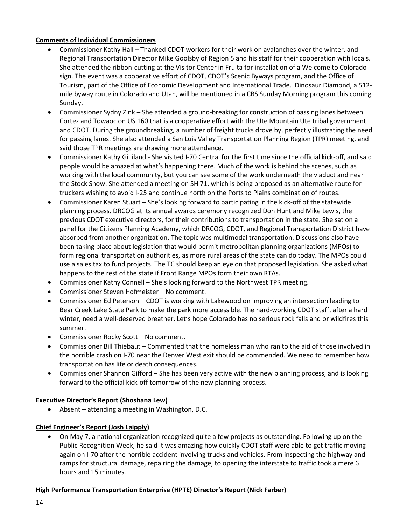## **Comments of Individual Commissioners**

- Commissioner Kathy Hall Thanked CDOT workers for their work on avalanches over the winter, and Regional Transportation Director Mike Goolsby of Region 5 and his staff for their cooperation with locals. She attended the ribbon-cutting at the Visitor Center in Fruita for installation of a Welcome to Colorado sign. The event was a cooperative effort of CDOT, CDOT's Scenic Byways program, and the Office of Tourism, part of the Office of Economic Development and International Trade. Dinosaur Diamond, a 512 mile byway route in Colorado and Utah, will be mentioned in a CBS Sunday Morning program this coming Sunday.
- Commissioner Sydny Zink She attended a ground-breaking for construction of passing lanes between Cortez and Towaoc on US 160 that is a cooperative effort with the Ute Mountain Ute tribal government and CDOT. During the groundbreaking, a number of freight trucks drove by, perfectly illustrating the need for passing lanes. She also attended a San Luis Valley Transportation Planning Region (TPR) meeting, and said those TPR meetings are drawing more attendance.
- Commissioner Kathy Gilliland She visited I-70 Central for the first time since the official kick-off, and said people would be amazed at what's happening there. Much of the work is behind the scenes, such as working with the local community, but you can see some of the work underneath the viaduct and near the Stock Show. She attended a meeting on SH 71, which is being proposed as an alternative route for truckers wishing to avoid I-25 and continue north on the Ports to Plains combination of routes.
- Commissioner Karen Stuart She's looking forward to participating in the kick-off of the statewide planning process. DRCOG at its annual awards ceremony recognized Don Hunt and Mike Lewis, the previous CDOT executive directors, for their contributions to transportation in the state. She sat on a panel for the Citizens Planning Academy, which DRCOG, CDOT, and Regional Transportation District have absorbed from another organization. The topic was multimodal transportation. Discussions also have been taking place about legislation that would permit metropolitan planning organizations (MPOs) to form regional transportation authorities, as more rural areas of the state can do today. The MPOs could use a sales tax to fund projects. The TC should keep an eye on that proposed legislation. She asked what happens to the rest of the state if Front Range MPOs form their own RTAs.
- Commissioner Kathy Connell She's looking forward to the Northwest TPR meeting.
- Commissioner Steven Hofmeister No comment.
- Commissioner Ed Peterson CDOT is working with Lakewood on improving an intersection leading to Bear Creek Lake State Park to make the park more accessible. The hard-working CDOT staff, after a hard winter, need a well-deserved breather. Let's hope Colorado has no serious rock falls and or wildfires this summer.
- Commissioner Rocky Scott No comment.
- Commissioner Bill Thiebaut Commented that the homeless man who ran to the aid of those involved in the horrible crash on I-70 near the Denver West exit should be commended. We need to remember how transportation has life or death consequences.
- Commissioner Shannon Gifford She has been very active with the new planning process, and is looking forward to the official kick-off tomorrow of the new planning process.

## **Executive Director's Report (Shoshana Lew)**

• Absent – attending a meeting in Washington, D.C.

## **Chief Engineer's Report (Josh Laipply)**

• On May 7, a national organization recognized quite a few projects as outstanding. Following up on the Public Recognition Week, he said it was amazing how quickly CDOT staff were able to get traffic moving again on I-70 after the horrible accident involving trucks and vehicles. From inspecting the highway and ramps for structural damage, repairing the damage, to opening the interstate to traffic took a mere 6 hours and 15 minutes.

## **High Performance Transportation Enterprise (HPTE) Director's Report (Nick Farber)**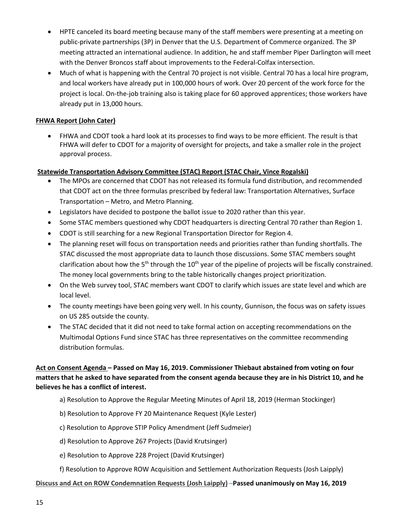- HPTE canceled its board meeting because many of the staff members were presenting at a meeting on public-private partnerships (3P) in Denver that the U.S. Department of Commerce organized. The 3P meeting attracted an international audience. In addition, he and staff member Piper Darlington will meet with the Denver Broncos staff about improvements to the Federal-Colfax intersection.
- Much of what is happening with the Central 70 project is not visible. Central 70 has a local hire program, and local workers have already put in 100,000 hours of work. Over 20 percent of the work force for the project is local. On-the-job training also is taking place for 60 approved apprentices; those workers have already put in 13,000 hours.

## **FHWA Report (John Cater)**

• FHWA and CDOT took a hard look at its processes to find ways to be more efficient. The result is that FHWA will defer to CDOT for a majority of oversight for projects, and take a smaller role in the project approval process.

# **Statewide Transportation Advisory Committee (STAC) Report (STAC Chair, Vince Rogalski)**

- The MPOs are concerned that CDOT has not released its formula fund distribution, and recommended that CDOT act on the three formulas prescribed by federal law: Transportation Alternatives, Surface Transportation – Metro, and Metro Planning.
- Legislators have decided to postpone the ballot issue to 2020 rather than this year.
- Some STAC members questioned why CDOT headquarters is directing Central 70 rather than Region 1.
- CDOT is still searching for a new Regional Transportation Director for Region 4.
- The planning reset will focus on transportation needs and priorities rather than funding shortfalls. The STAC discussed the most appropriate data to launch those discussions. Some STAC members sought clarification about how the 5<sup>th</sup> through the 10<sup>th</sup> year of the pipeline of projects will be fiscally constrained. The money local governments bring to the table historically changes project prioritization.
- On the Web survey tool, STAC members want CDOT to clarify which issues are state level and which are local level.
- The county meetings have been going very well. In his county, Gunnison, the focus was on safety issues on US 285 outside the county.
- The STAC decided that it did not need to take formal action on accepting recommendations on the Multimodal Options Fund since STAC has three representatives on the committee recommending distribution formulas.

# **Act on Consent Agenda – Passed on May 16, 2019. Commissioner Thiebaut abstained from voting on four matters that he asked to have separated from the consent agenda because they are in his District 10, and he believes he has a conflict of interest.**

- a) Resolution to Approve the Regular Meeting Minutes of April 18, 2019 (Herman Stockinger)
- b) Resolution to Approve FY 20 Maintenance Request (Kyle Lester)
- c) Resolution to Approve STIP Policy Amendment (Jeff Sudmeier)
- d) Resolution to Approve 267 Projects (David Krutsinger)
- e) Resolution to Approve 228 Project (David Krutsinger)
- f) Resolution to Approve ROW Acquisition and Settlement Authorization Requests (Josh Laipply)

#### **Discuss and Act on ROW Condemnation Requests (Josh Laipply)** –**Passed unanimously on May 16, 2019**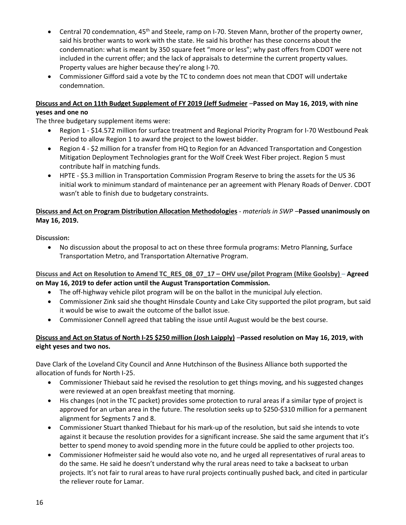- Central 70 condemnation, 45<sup>th</sup> and Steele, ramp on I-70. Steven Mann, brother of the property owner, said his brother wants to work with the state. He said his brother has these concerns about the condemnation: what is meant by 350 square feet "more or less"; why past offers from CDOT were not included in the current offer; and the lack of appraisals to determine the current property values. Property values are higher because they're along I-70.
- Commissioner Gifford said a vote by the TC to condemn does not mean that CDOT will undertake condemnation.

## **[Discuss and Act on 11th Budget Supplement of FY 2019 \(Jeff Sudmeier](https://www.codot.gov/about/transportation-commission/documents/2018-agendas-and-supporting-documents/december-2018/8-budget-sup.pdf)** –**Passed on May 16, 2019, with nine yeses and one no**

The three budgetary supplement items were:

- Region 1 \$14.572 million for surface treatment and Regional Priority Program for I-70 Westbound Peak Period to allow Region 1 to award the project to the lowest bidder.
- Region 4 \$2 million for a transfer from HQ to Region for an Advanced Transportation and Congestion Mitigation Deployment Technologies grant for the Wolf Creek West Fiber project. Region 5 must contribute half in matching funds.
- HPTE \$5.3 million in Transportation Commission Program Reserve to bring the assets for the US 36 initial work to minimum standard of maintenance per an agreement with Plenary Roads of Denver. CDOT wasn't able to finish due to budgetary constraints.

# **Discuss and Act on Program Distribution Allocation Methodologies** - *materials in SWP* –**Passed unanimously on May 16, 2019.**

**Discussion:**

• No discussion about the proposal to act on these three formula programs: Metro Planning, Surface Transportation Metro, and Transportation Alternative Program.

**[Discuss and Act on Resolution](https://www.codot.gov/about/transportation-commission/documents/2018-agendas-and-supporting-documents/december-2018/8-budget-sup.pdf) to Amend TC\_RES\_08\_07\_17 – OHV use/pilot Program (Mike Goolsby)** – **Agreed on May 16, 2019 to defer action until the August Transportation Commission.**

- The off-highway vehicle pilot program will be on the ballot in the municipal July election.
- Commissioner Zink said she thought Hinsdale County and Lake City supported the pilot program, but said it would be wise to await the outcome of the ballot issue.
- Commissioner Connell agreed that tabling the issue until August would be the best course.

# **[Discuss and Act on Status of North I-25 \\$250 million](https://www.codot.gov/about/transportation-commission/documents/2018-agendas-and-supporting-documents/december-2018/8-budget-sup.pdf) (Josh Laipply)** –**Passed resolution on May 16, 2019, with eight yeses and two nos.**

Dave Clark of the Loveland City Council and Anne Hutchinson of the Business Alliance both supported the allocation of funds for North I-25.

- Commissioner Thiebaut said he revised the resolution to get things moving, and his suggested changes were reviewed at an open breakfast meeting that morning.
- His changes (not in the TC packet) provides some protection to rural areas if a similar type of project is approved for an urban area in the future. The resolution seeks up to \$250-\$310 million for a permanent alignment for Segments 7 and 8.
- Commissioner Stuart thanked Thiebaut for his mark-up of the resolution, but said she intends to vote against it because the resolution provides for a significant increase. She said the same argument that it's better to spend money to avoid spending more in the future could be applied to other projects too.
- Commissioner Hofmeister said he would also vote no, and he urged all representatives of rural areas to do the same. He said he doesn't understand why the rural areas need to take a backseat to urban projects. It's not fair to rural areas to have rural projects continually pushed back, and cited in particular the reliever route for Lamar.